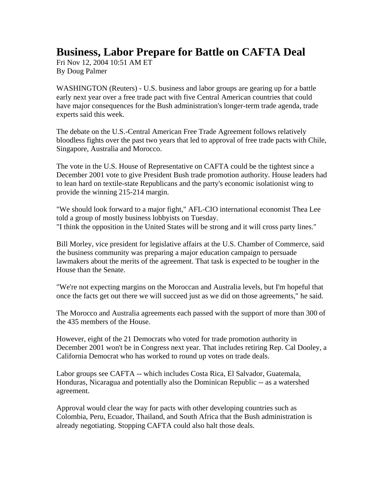## **Business, Labor Prepare for Battle on CAFTA Deal**

Fri Nov 12, 2004 10:51 AM ET By Doug Palmer

WASHINGTON (Reuters) - U.S. business and labor groups are gearing up for a battle early next year over a free trade pact with five Central American countries that could have major consequences for the Bush administration's longer-term trade agenda, trade experts said this week.

The debate on the U.S.-Central American Free Trade Agreement follows relatively bloodless fights over the past two years that led to approval of free trade pacts with Chile, Singapore, Australia and Morocco.

The vote in the U.S. House of Representative on CAFTA could be the tightest since a December 2001 vote to give President Bush trade promotion authority. House leaders had to lean hard on textile-state Republicans and the party's economic isolationist wing to provide the winning 215-214 margin.

"We should look forward to a major fight," AFL-CIO international economist Thea Lee told a group of mostly business lobbyists on Tuesday. "I think the opposition in the United States will be strong and it will cross party lines."

Bill Morley, vice president for legislative affairs at the U.S. Chamber of Commerce, said the business community was preparing a major education campaign to persuade lawmakers about the merits of the agreement. That task is expected to be tougher in the House than the Senate.

"We're not expecting margins on the Moroccan and Australia levels, but I'm hopeful that once the facts get out there we will succeed just as we did on those agreements," he said.

The Morocco and Australia agreements each passed with the support of more than 300 of the 435 members of the House.

However, eight of the 21 Democrats who voted for trade promotion authority in December 2001 won't be in Congress next year. That includes retiring Rep. Cal Dooley, a California Democrat who has worked to round up votes on trade deals.

Labor groups see CAFTA -- which includes Costa Rica, El Salvador, Guatemala, Honduras, Nicaragua and potentially also the Dominican Republic -- as a watershed agreement.

Approval would clear the way for pacts with other developing countries such as Colombia, Peru, Ecuador, Thailand, and South Africa that the Bush administration is already negotiating. Stopping CAFTA could also halt those deals.